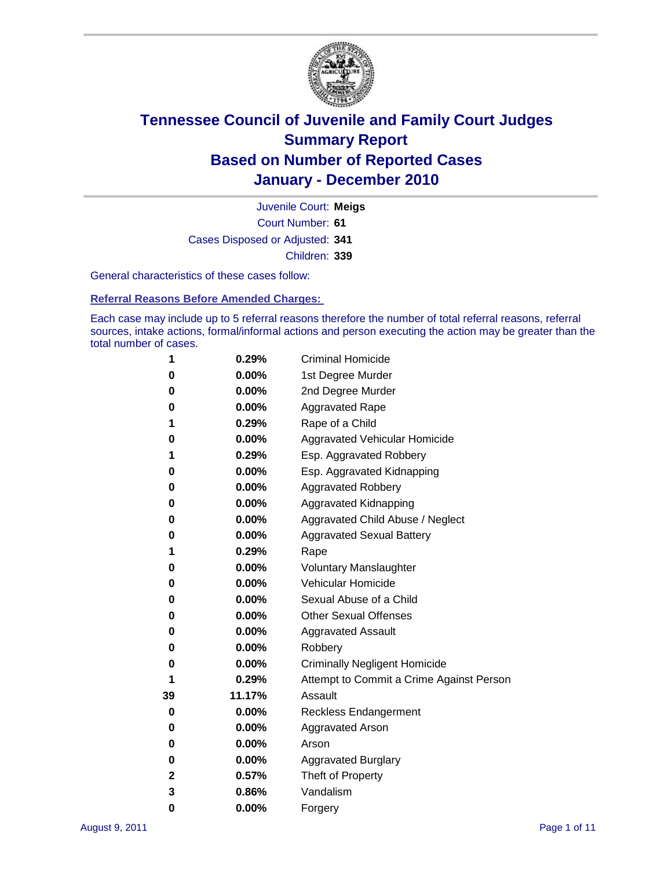

Court Number: **61** Juvenile Court: **Meigs** Cases Disposed or Adjusted: **341** Children: **339**

General characteristics of these cases follow:

**Referral Reasons Before Amended Charges:** 

Each case may include up to 5 referral reasons therefore the number of total referral reasons, referral sources, intake actions, formal/informal actions and person executing the action may be greater than the total number of cases.

| 1  | 0.29%    | <b>Criminal Homicide</b>                 |
|----|----------|------------------------------------------|
| 0  | 0.00%    | 1st Degree Murder                        |
| 0  | 0.00%    | 2nd Degree Murder                        |
| 0  | 0.00%    | <b>Aggravated Rape</b>                   |
| 1  | 0.29%    | Rape of a Child                          |
| 0  | 0.00%    | Aggravated Vehicular Homicide            |
| 1  | 0.29%    | Esp. Aggravated Robbery                  |
| 0  | 0.00%    | Esp. Aggravated Kidnapping               |
| 0  | 0.00%    | <b>Aggravated Robbery</b>                |
| 0  | 0.00%    | Aggravated Kidnapping                    |
| 0  | 0.00%    | Aggravated Child Abuse / Neglect         |
| 0  | $0.00\%$ | <b>Aggravated Sexual Battery</b>         |
| 1  | 0.29%    | Rape                                     |
| 0  | 0.00%    | <b>Voluntary Manslaughter</b>            |
| 0  | 0.00%    | Vehicular Homicide                       |
| 0  | 0.00%    | Sexual Abuse of a Child                  |
| 0  | 0.00%    | <b>Other Sexual Offenses</b>             |
| 0  | 0.00%    | <b>Aggravated Assault</b>                |
| 0  | $0.00\%$ | Robbery                                  |
| 0  | 0.00%    | <b>Criminally Negligent Homicide</b>     |
| 1  | 0.29%    | Attempt to Commit a Crime Against Person |
| 39 | 11.17%   | Assault                                  |
| 0  | 0.00%    | <b>Reckless Endangerment</b>             |
| 0  | 0.00%    | <b>Aggravated Arson</b>                  |
| 0  | 0.00%    | Arson                                    |
| 0  | 0.00%    | <b>Aggravated Burglary</b>               |
| 2  | 0.57%    | Theft of Property                        |
| 3  | 0.86%    | Vandalism                                |
| 0  | 0.00%    | Forgery                                  |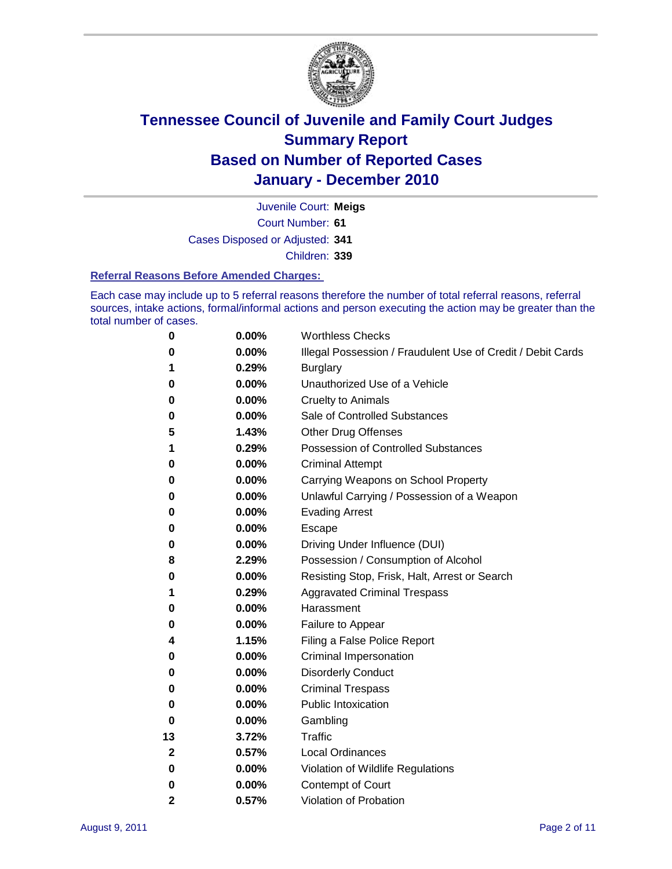

Court Number: **61** Juvenile Court: **Meigs** Cases Disposed or Adjusted: **341** Children: **339**

#### **Referral Reasons Before Amended Charges:**

Each case may include up to 5 referral reasons therefore the number of total referral reasons, referral sources, intake actions, formal/informal actions and person executing the action may be greater than the total number of cases.

| 0            | 0.00% | <b>Worthless Checks</b>                                     |
|--------------|-------|-------------------------------------------------------------|
| 0            | 0.00% | Illegal Possession / Fraudulent Use of Credit / Debit Cards |
| 1            | 0.29% | <b>Burglary</b>                                             |
| 0            | 0.00% | Unauthorized Use of a Vehicle                               |
| 0            | 0.00% | <b>Cruelty to Animals</b>                                   |
| 0            | 0.00% | Sale of Controlled Substances                               |
| 5            | 1.43% | <b>Other Drug Offenses</b>                                  |
| 1            | 0.29% | <b>Possession of Controlled Substances</b>                  |
| 0            | 0.00% | <b>Criminal Attempt</b>                                     |
| 0            | 0.00% | Carrying Weapons on School Property                         |
| 0            | 0.00% | Unlawful Carrying / Possession of a Weapon                  |
| 0            | 0.00% | <b>Evading Arrest</b>                                       |
| 0            | 0.00% | Escape                                                      |
| 0            | 0.00% | Driving Under Influence (DUI)                               |
| 8            | 2.29% | Possession / Consumption of Alcohol                         |
| 0            | 0.00% | Resisting Stop, Frisk, Halt, Arrest or Search               |
| 1            | 0.29% | <b>Aggravated Criminal Trespass</b>                         |
| 0            | 0.00% | Harassment                                                  |
| 0            | 0.00% | Failure to Appear                                           |
| 4            | 1.15% | Filing a False Police Report                                |
| 0            | 0.00% | Criminal Impersonation                                      |
| 0            | 0.00% | <b>Disorderly Conduct</b>                                   |
| 0            | 0.00% | <b>Criminal Trespass</b>                                    |
| 0            | 0.00% | <b>Public Intoxication</b>                                  |
| 0            | 0.00% | Gambling                                                    |
| 13           | 3.72% | <b>Traffic</b>                                              |
| $\mathbf{2}$ | 0.57% | <b>Local Ordinances</b>                                     |
| 0            | 0.00% | Violation of Wildlife Regulations                           |
| 0            | 0.00% | Contempt of Court                                           |
| $\mathbf{2}$ | 0.57% | Violation of Probation                                      |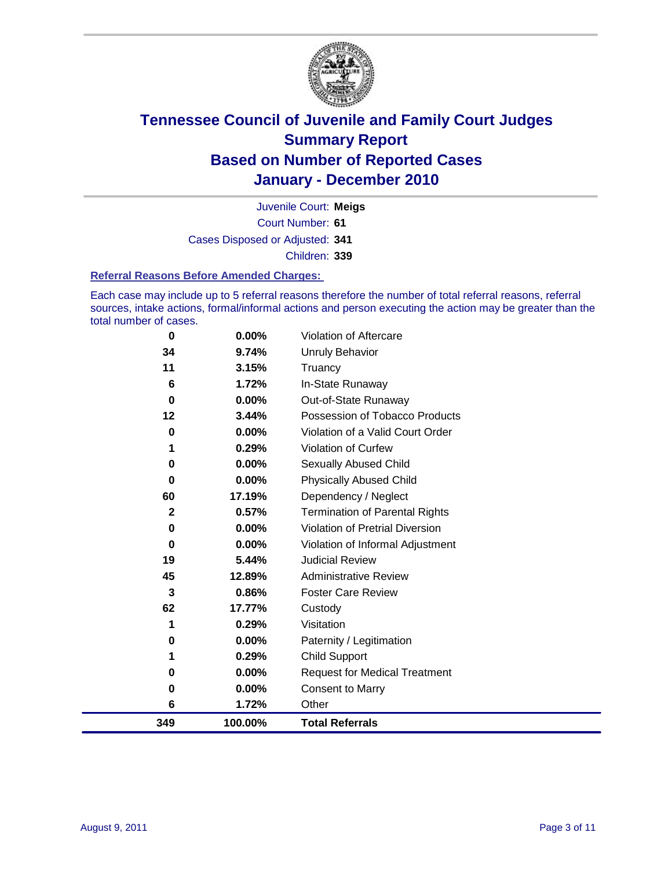

Court Number: **61** Juvenile Court: **Meigs** Cases Disposed or Adjusted: **341** Children: **339**

#### **Referral Reasons Before Amended Charges:**

Each case may include up to 5 referral reasons therefore the number of total referral reasons, referral sources, intake actions, formal/informal actions and person executing the action may be greater than the total number of cases.

| 0            | 0.00%   | Violation of Aftercare                 |
|--------------|---------|----------------------------------------|
| 34           | 9.74%   | <b>Unruly Behavior</b>                 |
| 11           | 3.15%   | Truancy                                |
| 6            | 1.72%   | In-State Runaway                       |
| 0            | 0.00%   | Out-of-State Runaway                   |
| 12           | 3.44%   | Possession of Tobacco Products         |
| 0            | 0.00%   | Violation of a Valid Court Order       |
|              | 0.29%   | Violation of Curfew                    |
| 0            | 0.00%   | <b>Sexually Abused Child</b>           |
| 0            | 0.00%   | <b>Physically Abused Child</b>         |
| 60           | 17.19%  | Dependency / Neglect                   |
| $\mathbf{2}$ | 0.57%   | <b>Termination of Parental Rights</b>  |
| $\bf{0}$     | 0.00%   | <b>Violation of Pretrial Diversion</b> |
| 0            | 0.00%   | Violation of Informal Adjustment       |
| 19           | 5.44%   | <b>Judicial Review</b>                 |
| 45           | 12.89%  | <b>Administrative Review</b>           |
| 3            | 0.86%   | <b>Foster Care Review</b>              |
| 62           | 17.77%  | Custody                                |
| 1            | 0.29%   | Visitation                             |
| 0            | 0.00%   | Paternity / Legitimation               |
| 1            | 0.29%   | Child Support                          |
| 0            | 0.00%   | <b>Request for Medical Treatment</b>   |
| 0            | 0.00%   | <b>Consent to Marry</b>                |
| 6            | 1.72%   | Other                                  |
| 349          | 100.00% | <b>Total Referrals</b>                 |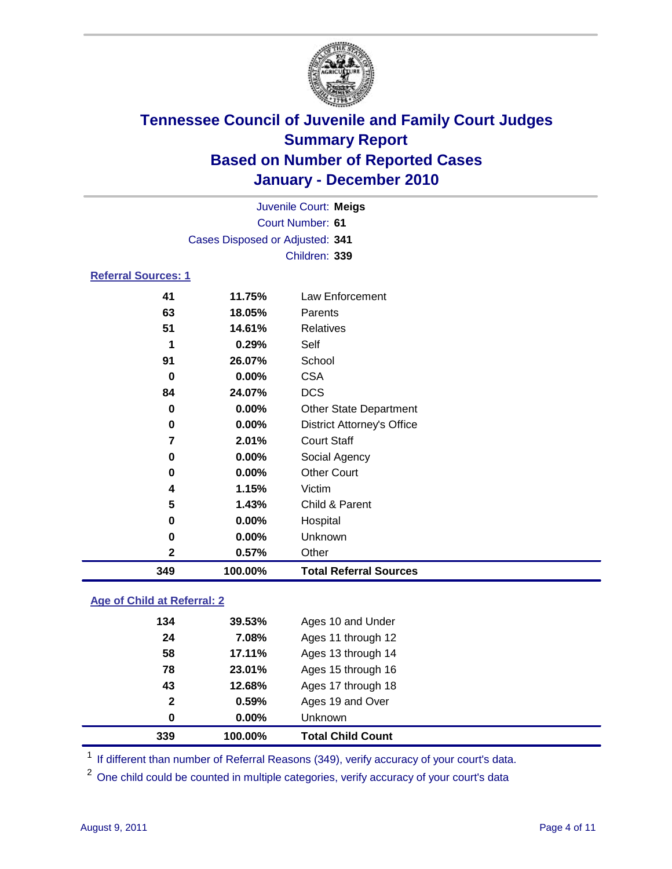

|                            |                                 | Juvenile Court: Meigs             |
|----------------------------|---------------------------------|-----------------------------------|
|                            |                                 | Court Number: 61                  |
|                            | Cases Disposed or Adjusted: 341 |                                   |
|                            |                                 | Children: 339                     |
| <b>Referral Sources: 1</b> |                                 |                                   |
| 41                         | 11.75%                          | Law Enforcement                   |
| 63                         | 18.05%                          | Parents                           |
| 51                         | 14.61%                          | Relatives                         |
| 1                          | 0.29%                           | Self                              |
| 91                         | 26.07%                          | School                            |
| 0                          | 0.00%                           | <b>CSA</b>                        |
| 84                         | 24.07%                          | <b>DCS</b>                        |
| 0                          | 0.00%                           | <b>Other State Department</b>     |
| 0                          | 0.00%                           | <b>District Attorney's Office</b> |
| 7                          | 2.01%                           | <b>Court Staff</b>                |
| 0                          | 0.00%                           | Social Agency                     |
| 0                          | 0.00%                           | <b>Other Court</b>                |
| 4                          | 1.15%                           | Victim                            |
| 5                          | 1.43%                           | Child & Parent                    |
| 0                          | 0.00%                           | Hospital                          |
| 0                          | 0.00%                           | Unknown                           |
| $\mathbf{2}$               | 0.57%                           | Other                             |
| 349                        | 100.00%                         | <b>Total Referral Sources</b>     |

### **Age of Child at Referral: 2**

| 339          | 100.00% | <b>Total Child Count</b> |  |
|--------------|---------|--------------------------|--|
| 0            | 0.00%   | <b>Unknown</b>           |  |
| $\mathbf{2}$ | 0.59%   | Ages 19 and Over         |  |
| 43           | 12.68%  | Ages 17 through 18       |  |
| 78           | 23.01%  | Ages 15 through 16       |  |
| 58           | 17.11%  | Ages 13 through 14       |  |
| 24           | 7.08%   | Ages 11 through 12       |  |
| 134          | 39.53%  | Ages 10 and Under        |  |
|              |         |                          |  |

<sup>1</sup> If different than number of Referral Reasons (349), verify accuracy of your court's data.

<sup>2</sup> One child could be counted in multiple categories, verify accuracy of your court's data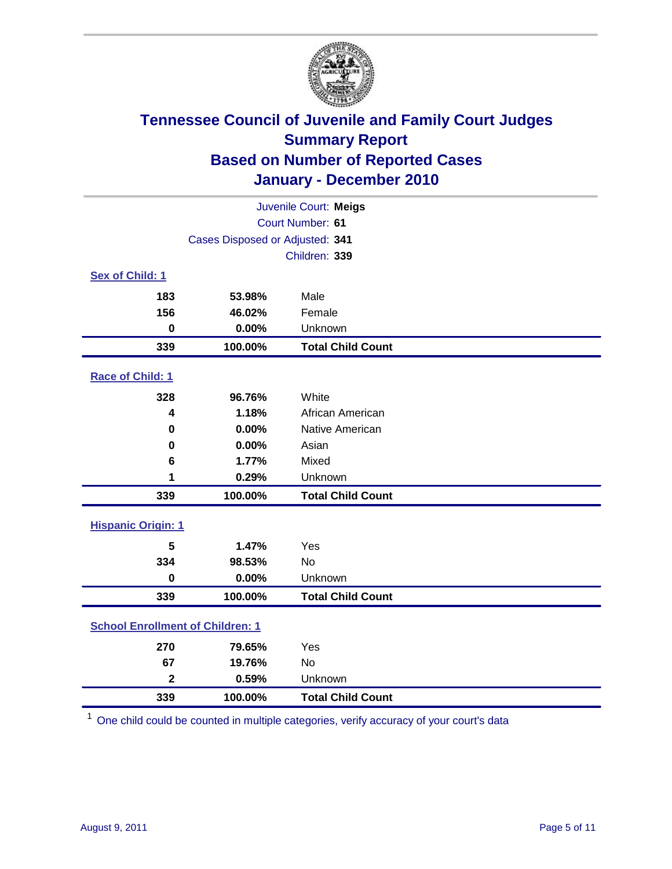

| Juvenile Court: Meigs                   |                                 |                          |  |  |
|-----------------------------------------|---------------------------------|--------------------------|--|--|
| Court Number: 61                        |                                 |                          |  |  |
|                                         | Cases Disposed or Adjusted: 341 |                          |  |  |
|                                         |                                 | Children: 339            |  |  |
| Sex of Child: 1                         |                                 |                          |  |  |
| 183                                     | 53.98%                          | Male                     |  |  |
| 156                                     | 46.02%                          | Female                   |  |  |
| $\mathbf 0$                             | 0.00%                           | Unknown                  |  |  |
| 339                                     | 100.00%                         | <b>Total Child Count</b> |  |  |
| Race of Child: 1                        |                                 |                          |  |  |
| 328                                     | 96.76%                          | White                    |  |  |
| 4                                       | 1.18%                           | African American         |  |  |
| $\mathbf 0$                             | 0.00%                           | Native American          |  |  |
| 0                                       | 0.00%                           | Asian                    |  |  |
| 6                                       | 1.77%                           | Mixed                    |  |  |
| 1                                       | 0.29%                           | Unknown                  |  |  |
| 339                                     | 100.00%                         | <b>Total Child Count</b> |  |  |
| <b>Hispanic Origin: 1</b>               |                                 |                          |  |  |
| 5                                       | 1.47%                           | Yes                      |  |  |
| 334                                     | 98.53%                          | No                       |  |  |
| $\mathbf 0$                             | 0.00%                           | Unknown                  |  |  |
| 339                                     | 100.00%                         | <b>Total Child Count</b> |  |  |
| <b>School Enrollment of Children: 1</b> |                                 |                          |  |  |
| 270                                     | 79.65%                          | Yes                      |  |  |
| 67                                      | 19.76%                          | No                       |  |  |
| $\overline{\mathbf{2}}$                 | 0.59%                           | Unknown                  |  |  |
| 339                                     | 100.00%                         | <b>Total Child Count</b> |  |  |

One child could be counted in multiple categories, verify accuracy of your court's data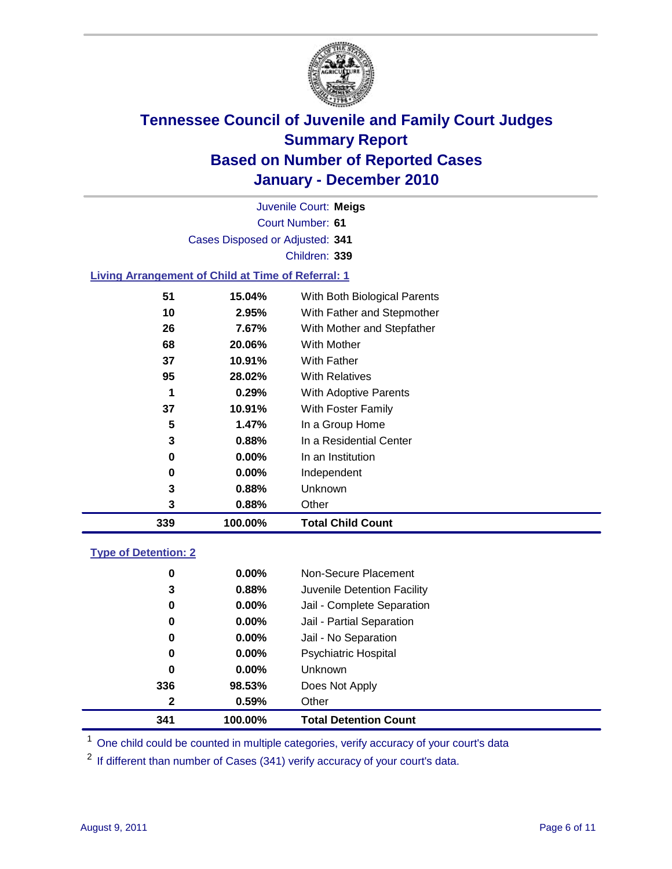

Court Number: **61** Juvenile Court: **Meigs** Cases Disposed or Adjusted: **341** Children: **339**

### **Living Arrangement of Child at Time of Referral: 1**

| 339 | 100.00%  | <b>Total Child Count</b>     |
|-----|----------|------------------------------|
| 3   | 0.88%    | Other                        |
| 3   | 0.88%    | Unknown                      |
| 0   | $0.00\%$ | Independent                  |
| 0   | 0.00%    | In an Institution            |
| 3   | 0.88%    | In a Residential Center      |
| 5   | 1.47%    | In a Group Home              |
| 37  | 10.91%   | With Foster Family           |
| 1   | 0.29%    | <b>With Adoptive Parents</b> |
| 95  | 28.02%   | <b>With Relatives</b>        |
| 37  | 10.91%   | With Father                  |
| 68  | 20.06%   | <b>With Mother</b>           |
| 26  | 7.67%    | With Mother and Stepfather   |
| 10  | 2.95%    | With Father and Stepmother   |
| 51  | 15.04%   | With Both Biological Parents |
|     |          |                              |

#### **Type of Detention: 2**

| 341 | 100.00%  | <b>Total Detention Count</b> |  |
|-----|----------|------------------------------|--|
| 2   | 0.59%    | Other                        |  |
| 336 | 98.53%   | Does Not Apply               |  |
| 0   | $0.00\%$ | Unknown                      |  |
| 0   | $0.00\%$ | Psychiatric Hospital         |  |
| 0   | 0.00%    | Jail - No Separation         |  |
| 0   | $0.00\%$ | Jail - Partial Separation    |  |
| 0   | 0.00%    | Jail - Complete Separation   |  |
| 3   | 0.88%    | Juvenile Detention Facility  |  |
| 0   | $0.00\%$ | Non-Secure Placement         |  |
|     |          |                              |  |

<sup>1</sup> One child could be counted in multiple categories, verify accuracy of your court's data

<sup>2</sup> If different than number of Cases (341) verify accuracy of your court's data.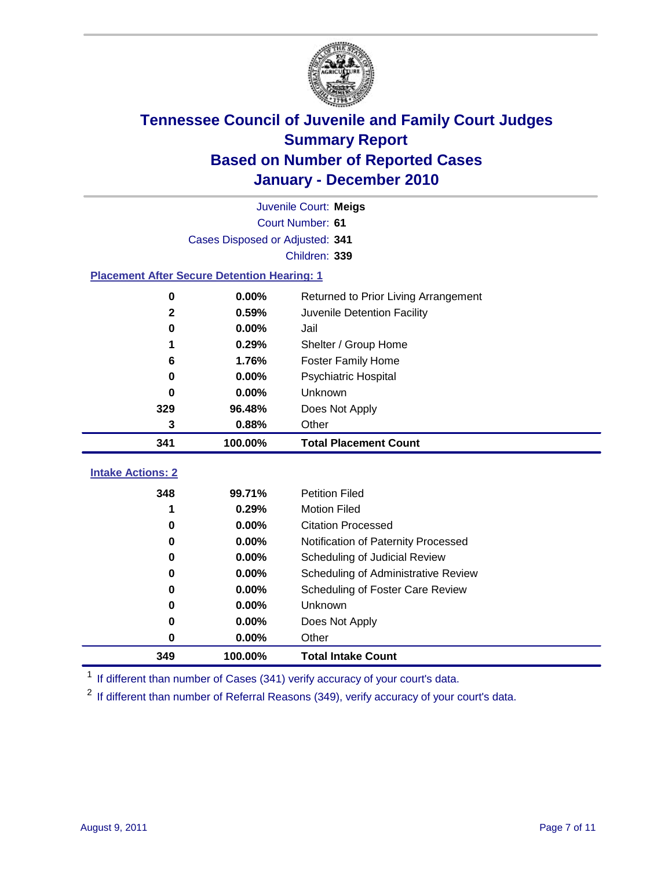

|                                                    | Juvenile Court: Meigs           |                                      |  |  |  |
|----------------------------------------------------|---------------------------------|--------------------------------------|--|--|--|
|                                                    | Court Number: 61                |                                      |  |  |  |
|                                                    | Cases Disposed or Adjusted: 341 |                                      |  |  |  |
|                                                    |                                 | Children: 339                        |  |  |  |
| <b>Placement After Secure Detention Hearing: 1</b> |                                 |                                      |  |  |  |
| $\mathbf 0$                                        | 0.00%                           | Returned to Prior Living Arrangement |  |  |  |
| $\mathbf{2}$                                       | 0.59%                           | Juvenile Detention Facility          |  |  |  |
| $\bf{0}$                                           | 0.00%                           | Jail                                 |  |  |  |
| 1                                                  | 0.29%                           | Shelter / Group Home                 |  |  |  |
| 6                                                  | 1.76%                           | <b>Foster Family Home</b>            |  |  |  |
| 0                                                  | 0.00%                           | Psychiatric Hospital                 |  |  |  |
| U                                                  | 0.00%                           | Unknown                              |  |  |  |
| 329                                                | 96.48%                          | Does Not Apply                       |  |  |  |
| 3                                                  | 0.88%                           | Other                                |  |  |  |
| 341                                                | 100.00%                         | <b>Total Placement Count</b>         |  |  |  |
| <b>Intake Actions: 2</b>                           |                                 |                                      |  |  |  |
| 348                                                | 99.71%                          | <b>Petition Filed</b>                |  |  |  |
| 1                                                  | 0.29%                           | <b>Motion Filed</b>                  |  |  |  |
| 0                                                  | 0.00%                           | <b>Citation Processed</b>            |  |  |  |
| 0                                                  | 0.00%                           | Notification of Paternity Processed  |  |  |  |
| $\mathbf 0$                                        | 0.00%                           | Scheduling of Judicial Review        |  |  |  |
| $\bf{0}$                                           | 0.00%                           | Scheduling of Administrative Review  |  |  |  |
| 0                                                  | 0.00%                           | Scheduling of Foster Care Review     |  |  |  |
| 0                                                  | 0.00%                           | Unknown                              |  |  |  |
| 0                                                  | 0.00%                           | Does Not Apply                       |  |  |  |
| 0                                                  | 0.00%                           | Other                                |  |  |  |
| 349                                                | 100.00%                         | <b>Total Intake Count</b>            |  |  |  |

<sup>1</sup> If different than number of Cases (341) verify accuracy of your court's data.

<sup>2</sup> If different than number of Referral Reasons (349), verify accuracy of your court's data.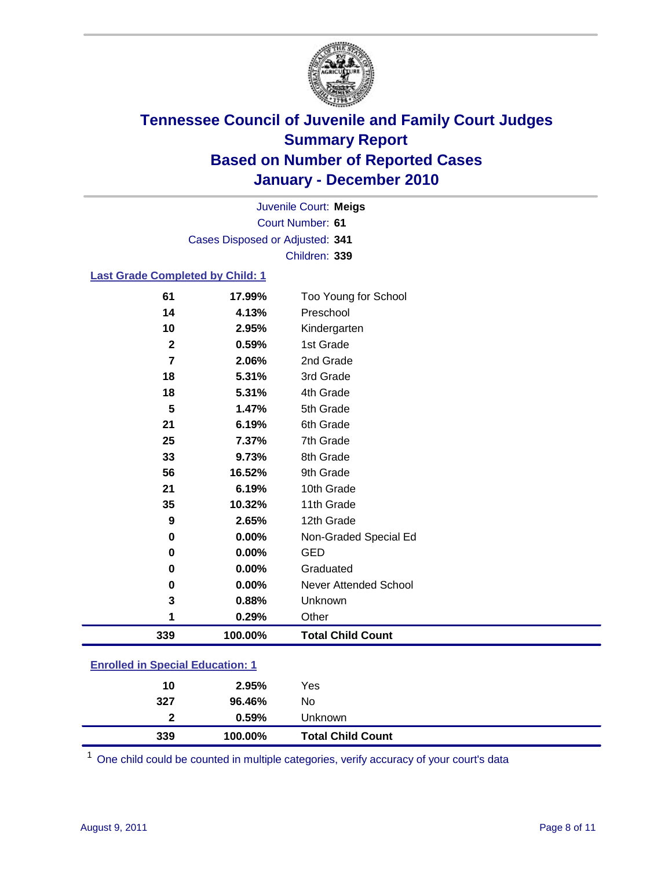

Court Number: **61** Juvenile Court: **Meigs** Cases Disposed or Adjusted: **341** Children: **339**

#### **Last Grade Completed by Child: 1**

| 61                                      | 17.99%  | Too Young for School     |  |
|-----------------------------------------|---------|--------------------------|--|
| 14                                      | 4.13%   | Preschool                |  |
| 10                                      | 2.95%   | Kindergarten             |  |
| $\mathbf{2}$                            | 0.59%   | 1st Grade                |  |
| 7                                       | 2.06%   | 2nd Grade                |  |
| 18                                      | 5.31%   | 3rd Grade                |  |
| 18                                      | 5.31%   | 4th Grade                |  |
| 5                                       | 1.47%   | 5th Grade                |  |
| 21                                      | 6.19%   | 6th Grade                |  |
| 25                                      | 7.37%   | 7th Grade                |  |
| 33                                      | 9.73%   | 8th Grade                |  |
| 56                                      | 16.52%  | 9th Grade                |  |
| 21                                      | 6.19%   | 10th Grade               |  |
| 35                                      | 10.32%  | 11th Grade               |  |
| 9                                       | 2.65%   | 12th Grade               |  |
| $\bf{0}$                                | 0.00%   | Non-Graded Special Ed    |  |
| 0                                       | 0.00%   | <b>GED</b>               |  |
| 0                                       | 0.00%   | Graduated                |  |
| 0                                       | 0.00%   | Never Attended School    |  |
| 3                                       | 0.88%   | Unknown                  |  |
| 1                                       | 0.29%   | Other                    |  |
| 339                                     | 100.00% | <b>Total Child Count</b> |  |
| <b>Enrolled in Special Education: 1</b> |         |                          |  |

| 339          | 100.00% | <b>Total Child Count</b> |  |
|--------------|---------|--------------------------|--|
| $\mathbf{2}$ | 0.59%   | Unknown                  |  |
| 327          | 96.46%  | No                       |  |
| 10           | 2.95%   | Yes                      |  |

One child could be counted in multiple categories, verify accuracy of your court's data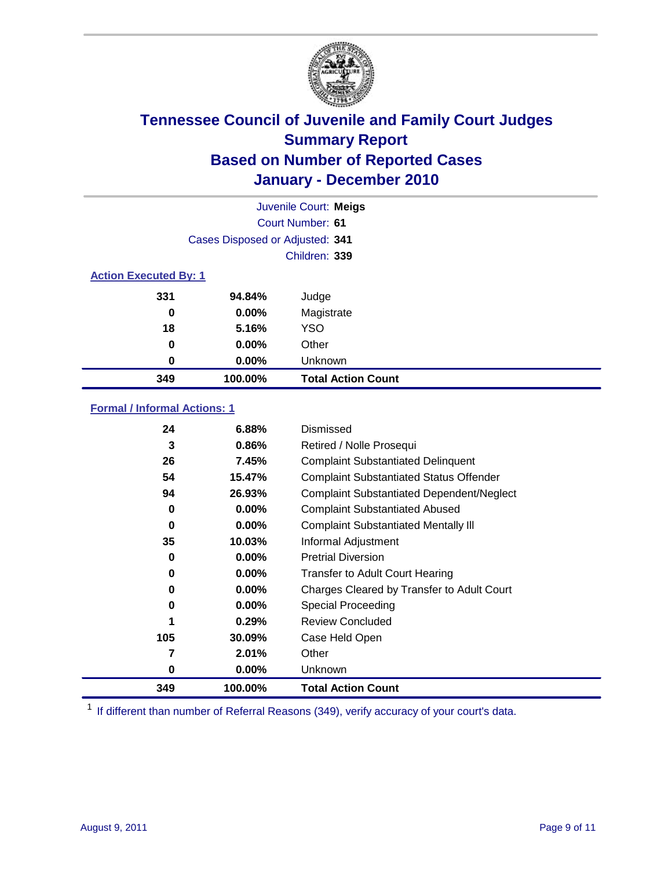

|                              | Juvenile Court: Meigs           |                           |  |  |
|------------------------------|---------------------------------|---------------------------|--|--|
| Court Number: 61             |                                 |                           |  |  |
|                              | Cases Disposed or Adjusted: 341 |                           |  |  |
|                              |                                 | Children: 339             |  |  |
| <b>Action Executed By: 1</b> |                                 |                           |  |  |
| 331                          | 94.84%                          | Judge                     |  |  |
| 0                            | $0.00\%$                        | Magistrate                |  |  |
| 18                           | 5.16%                           | <b>YSO</b>                |  |  |
| 0                            | 0.00%                           | Other                     |  |  |
| 0                            | 0.00%                           | Unknown                   |  |  |
| 349                          | 100.00%                         | <b>Total Action Count</b> |  |  |

### **Formal / Informal Actions: 1**

| 24  | 6.88%    | Dismissed                                        |
|-----|----------|--------------------------------------------------|
| 3   | 0.86%    | Retired / Nolle Prosequi                         |
| 26  | 7.45%    | <b>Complaint Substantiated Delinquent</b>        |
| 54  | 15.47%   | <b>Complaint Substantiated Status Offender</b>   |
| 94  | 26.93%   | <b>Complaint Substantiated Dependent/Neglect</b> |
| 0   | 0.00%    | <b>Complaint Substantiated Abused</b>            |
| 0   | $0.00\%$ | <b>Complaint Substantiated Mentally III</b>      |
| 35  | 10.03%   | Informal Adjustment                              |
| 0   | $0.00\%$ | <b>Pretrial Diversion</b>                        |
| 0   | $0.00\%$ | <b>Transfer to Adult Court Hearing</b>           |
| 0   | $0.00\%$ | Charges Cleared by Transfer to Adult Court       |
| 0   | $0.00\%$ | <b>Special Proceeding</b>                        |
| 1   | 0.29%    | <b>Review Concluded</b>                          |
| 105 | 30.09%   | Case Held Open                                   |
| 7   | 2.01%    | Other                                            |
| 0   | $0.00\%$ | <b>Unknown</b>                                   |
| 349 | 100.00%  | <b>Total Action Count</b>                        |

<sup>1</sup> If different than number of Referral Reasons (349), verify accuracy of your court's data.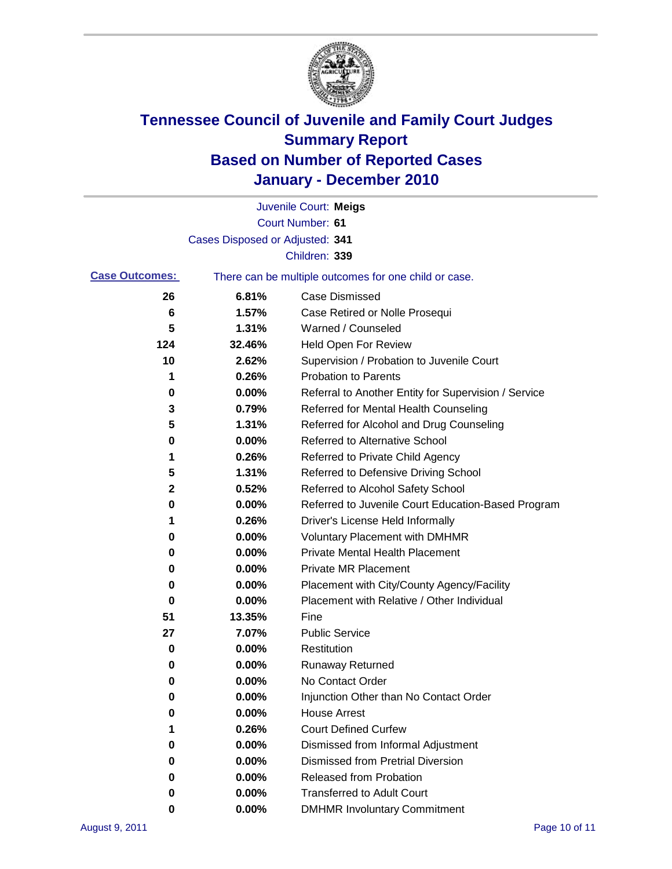

|                       |                                 | Juvenile Court: Meigs                                 |
|-----------------------|---------------------------------|-------------------------------------------------------|
|                       |                                 | Court Number: 61                                      |
|                       | Cases Disposed or Adjusted: 341 |                                                       |
|                       |                                 | Children: 339                                         |
| <b>Case Outcomes:</b> |                                 | There can be multiple outcomes for one child or case. |
| 26                    | 6.81%                           | <b>Case Dismissed</b>                                 |
| 6                     | 1.57%                           | Case Retired or Nolle Prosequi                        |
| 5                     | 1.31%                           | Warned / Counseled                                    |
| 124                   | 32.46%                          | Held Open For Review                                  |
| 10                    | 2.62%                           | Supervision / Probation to Juvenile Court             |
| 1                     | 0.26%                           | <b>Probation to Parents</b>                           |
| 0                     | 0.00%                           | Referral to Another Entity for Supervision / Service  |
| 3                     | 0.79%                           | Referred for Mental Health Counseling                 |
| 5                     | 1.31%                           | Referred for Alcohol and Drug Counseling              |
| 0                     | 0.00%                           | <b>Referred to Alternative School</b>                 |
| 1                     | 0.26%                           | Referred to Private Child Agency                      |
| 5                     | 1.31%                           | Referred to Defensive Driving School                  |
| $\mathbf 2$           | 0.52%                           | Referred to Alcohol Safety School                     |
| 0                     | 0.00%                           | Referred to Juvenile Court Education-Based Program    |
| 1                     | 0.26%                           | Driver's License Held Informally                      |
| 0                     | 0.00%                           | <b>Voluntary Placement with DMHMR</b>                 |
| 0                     | 0.00%                           | <b>Private Mental Health Placement</b>                |
| 0                     | 0.00%                           | <b>Private MR Placement</b>                           |
| 0                     | 0.00%                           | Placement with City/County Agency/Facility            |
| 0                     | 0.00%                           | Placement with Relative / Other Individual            |
| 51                    | 13.35%                          | Fine                                                  |
| 27                    | 7.07%                           | <b>Public Service</b>                                 |
| 0                     | 0.00%                           | Restitution                                           |
| 0                     | 0.00%                           | <b>Runaway Returned</b>                               |
| 0                     | 0.00%                           | No Contact Order                                      |
| 0                     | 0.00%                           | Injunction Other than No Contact Order                |
| 0                     | 0.00%                           | <b>House Arrest</b>                                   |
|                       | 0.26%                           | <b>Court Defined Curfew</b>                           |
| 0                     | 0.00%                           | Dismissed from Informal Adjustment                    |
| 0                     | 0.00%                           | <b>Dismissed from Pretrial Diversion</b>              |
| 0                     | 0.00%                           | Released from Probation                               |
| 0                     | 0.00%                           | <b>Transferred to Adult Court</b>                     |
| 0                     | 0.00%                           | <b>DMHMR Involuntary Commitment</b>                   |